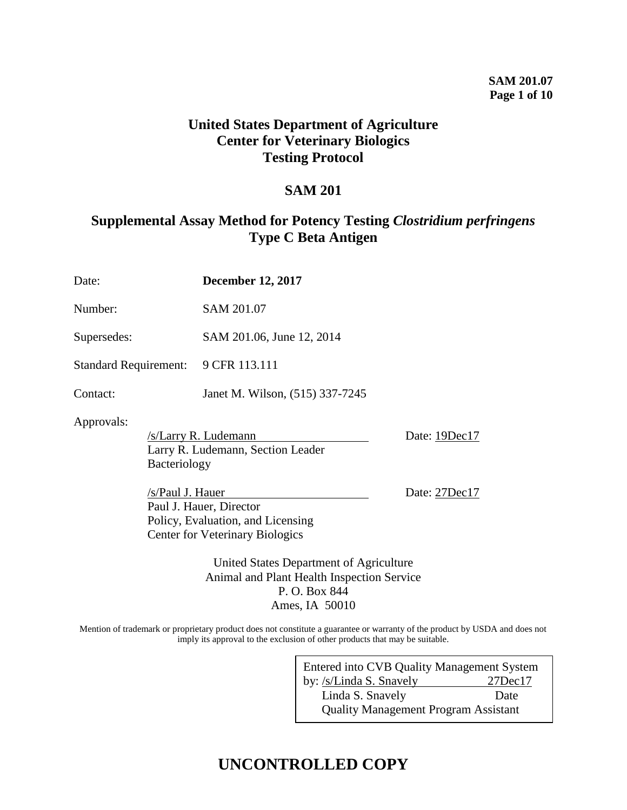## **SAM 201.07 Page 1 of 10**

## **United States Department of Agriculture Center for Veterinary Biologics Testing Protocol**

## **SAM 201**

## **Supplemental Assay Method for Potency Testing** *Clostridium perfringens* **Type C Beta Antigen**

| Date:                        |                     | <b>December 12, 2017</b>                                                                               |               |  |
|------------------------------|---------------------|--------------------------------------------------------------------------------------------------------|---------------|--|
| Number:                      |                     | SAM 201.07                                                                                             |               |  |
| Supersedes:                  |                     | SAM 201.06, June 12, 2014                                                                              |               |  |
| <b>Standard Requirement:</b> |                     | 9 CFR 113.111                                                                                          |               |  |
| Contact:                     |                     | Janet M. Wilson, (515) 337-7245                                                                        |               |  |
| Approvals:                   | <b>Bacteriology</b> | /s/Larry R. Ludemann<br>Larry R. Ludemann, Section Leader                                              | Date: 19Dec17 |  |
|                              | /s/Paul J. Hauer    | Paul J. Hauer, Director<br>Policy, Evaluation, and Licensing<br><b>Center for Veterinary Biologics</b> | Date: 27Dec17 |  |
|                              |                     | United States Department of Agriculture<br>Animal and Plant Health Inspection Service                  |               |  |

Mention of trademark or proprietary product does not constitute a guarantee or warranty of the product by USDA and does not imply its approval to the exclusion of other products that may be suitable.

P. O. Box 844 Ames, IA 50010

| Entered into CVB Quality Management System  |               |  |  |  |
|---------------------------------------------|---------------|--|--|--|
| by: /s/Linda S. Snavely                     | $27$ Dec $17$ |  |  |  |
| Linda S. Snavely                            | Date          |  |  |  |
| <b>Quality Management Program Assistant</b> |               |  |  |  |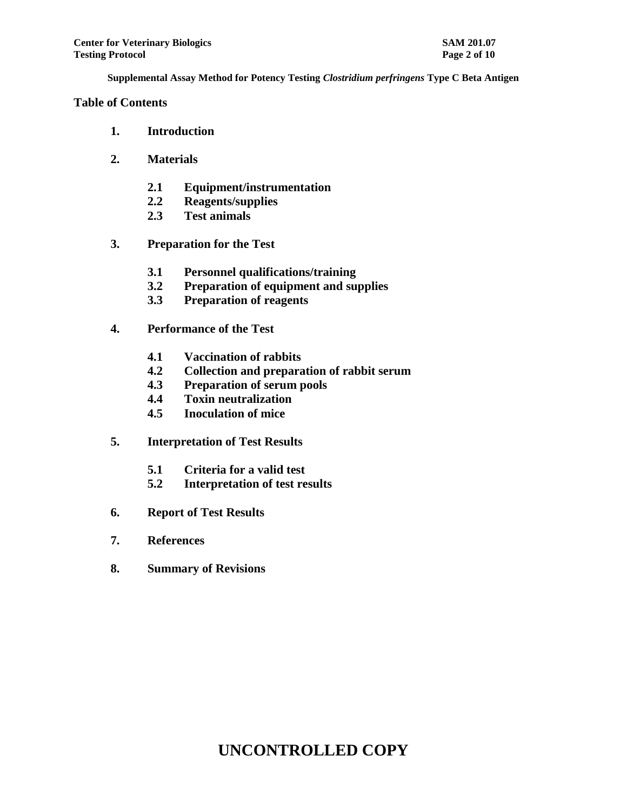## **Table of Contents**

- **1. Introduction**
- **2. Materials** 
	- **2.1 Equipment/instrumentation**
	- **2.2 Reagents/supplies**
	- **2.3 Test animals**
- **3. Preparation for the Test** 
	- **3.1 Personnel qualifications/training**
	- **3.2 Preparation of equipment and supplies**
	- **3.3 Preparation of reagents**
- **4. Performance of the Test** 
	- **4.1 Vaccination of rabbits**
	- **4.2 Collection and preparation of rabbit serum**
	- **4.3 Preparation of serum pools**
	- **4.4 Toxin neutralization**
	- **4.5 Inoculation of mice**
- **5. Interpretation of Test Results** 
	- **5.1 Criteria for a valid test**
	- **5.2 Interpretation of test results**
- **6. Report of Test Results**
- **7. References**
- **8. Summary of Revisions**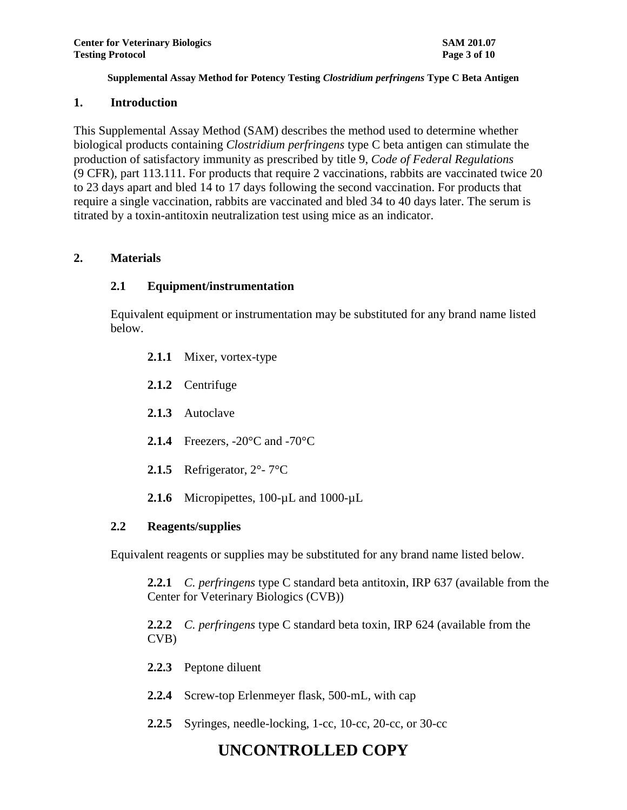## **1. Introduction**

This Supplemental Assay Method (SAM) describes the method used to determine whether biological products containing *Clostridium perfringens* type C beta antigen can stimulate the production of satisfactory immunity as prescribed by title 9, *Code of Federal Regulations* (9 CFR), part 113.111. For products that require 2 vaccinations, rabbits are vaccinated twice 20 to 23 days apart and bled 14 to 17 days following the second vaccination. For products that require a single vaccination, rabbits are vaccinated and bled 34 to 40 days later. The serum is titrated by a toxin-antitoxin neutralization test using mice as an indicator.

## **2. Materials**

## **2.1 Equipment/instrumentation**

Equivalent equipment or instrumentation may be substituted for any brand name listed below.

- **2.1.1** Mixer, vortex-type
- **2.1.2** Centrifuge
- **2.1.3** Autoclave
- **2.1.4** Freezers, -20°C and -70°C
- **2.1.5** Refrigerator, 2°- 7°C
- 2.1.6 Micropipettes, 100-uL and 1000-uL

## **2.2 Reagents/supplies**

Equivalent reagents or supplies may be substituted for any brand name listed below.

**2.2.1** *C. perfringens* type C standard beta antitoxin, IRP 637 (available from the Center for Veterinary Biologics (CVB))

**2.2.2** *C. perfringens* type C standard beta toxin, IRP 624 (available from the CVB)

- **2.2.3** Peptone diluent
- **2.2.4** Screw-top Erlenmeyer flask, 500-mL, with cap
- **2.2.5** Syringes, needle-locking, 1-cc, 10-cc, 20-cc, or 30-cc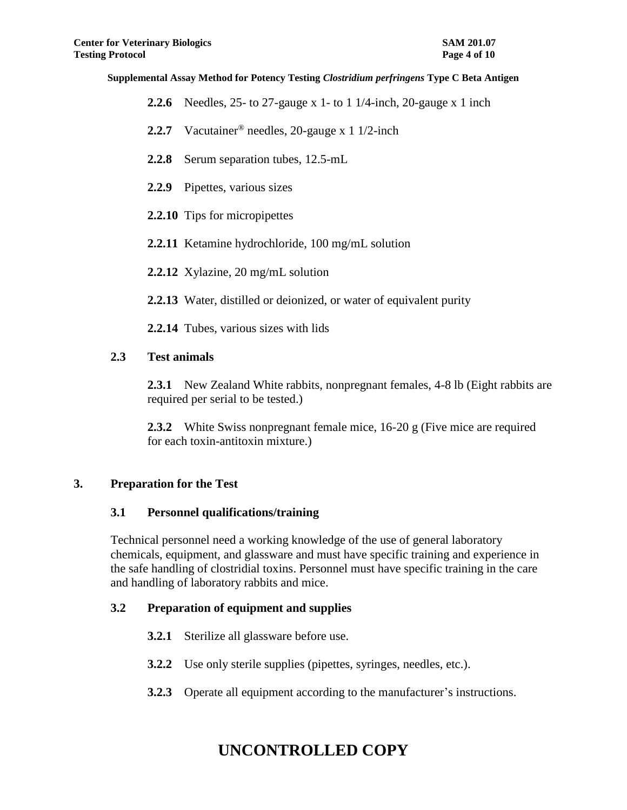- **2.2.6** Needles, 25- to 27-gauge x 1- to 1 1/4-inch, 20-gauge x 1 inch
- **2.2.7** Vacutainer® needles, 20-gauge x 1 1/2-inch
- **2.2.8** Serum separation tubes, 12.5-mL
- **2.2.9** Pipettes, various sizes
- **2.2.10** Tips for micropipettes
- **2.2.11** Ketamine hydrochloride, 100 mg/mL solution
- **2.2.12** Xylazine, 20 mg/mL solution
- **2.2.13** Water, distilled or deionized, or water of equivalent purity
- **2.2.14** Tubes, various sizes with lids

## **2.3 Test animals**

**2.3.1** New Zealand White rabbits, nonpregnant females, 4-8 lb (Eight rabbits are required per serial to be tested.)

**2.3.2** White Swiss nonpregnant female mice, 16-20 g (Five mice are required for each toxin-antitoxin mixture.)

## **3. Preparation for the Test**

## **3.1 Personnel qualifications/training**

Technical personnel need a working knowledge of the use of general laboratory chemicals, equipment, and glassware and must have specific training and experience in the safe handling of clostridial toxins. Personnel must have specific training in the care and handling of laboratory rabbits and mice.

## **3.2 Preparation of equipment and supplies**

- **3.2.1** Sterilize all glassware before use.
- **3.2.2** Use only sterile supplies (pipettes, syringes, needles, etc.).
- **3.2.3** Operate all equipment according to the manufacturer's instructions.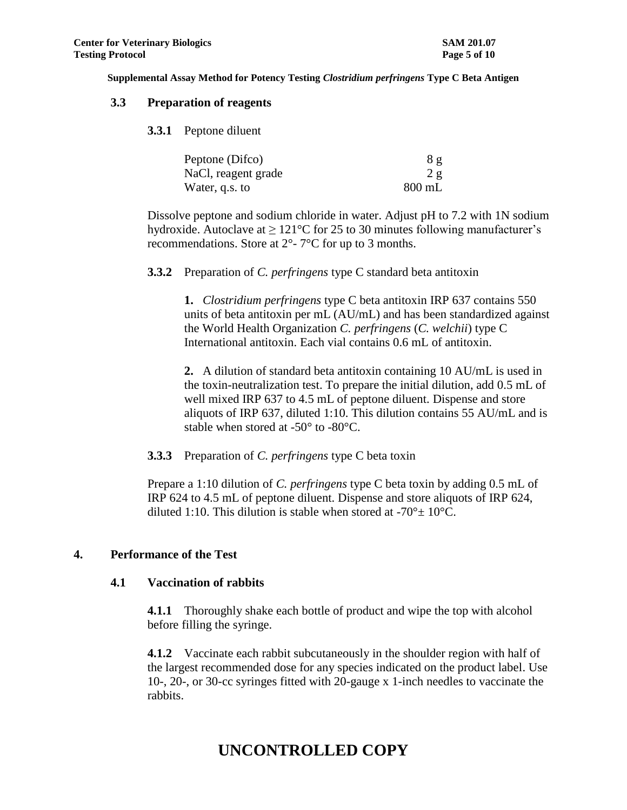#### **3.3 Preparation of reagents**

**3.3.1** Peptone diluent

| Peptone (Difco)     | 8g       |
|---------------------|----------|
| NaCl, reagent grade | 2g       |
| Water, q.s. to      | $800$ mL |

Dissolve peptone and sodium chloride in water. Adjust pH to 7.2 with 1N sodium hydroxide. Autoclave at  $\geq 121^{\circ}$ C for 25 to 30 minutes following manufacturer's recommendations. Store at 2°- 7°C for up to 3 months.

**3.3.2** Preparation of *C. perfringens* type C standard beta antitoxin

**1.** *Clostridium perfringens* type C beta antitoxin IRP 637 contains 550 units of beta antitoxin per mL (AU/mL) and has been standardized against the World Health Organization *C. perfringens* (*C. welchii*) type C International antitoxin. Each vial contains 0.6 mL of antitoxin.

**2.** A dilution of standard beta antitoxin containing 10 AU/mL is used in the toxin-neutralization test. To prepare the initial dilution, add 0.5 mL of well mixed IRP 637 to 4.5 mL of peptone diluent. Dispense and store aliquots of IRP 637, diluted 1:10. This dilution contains 55 AU/mL and is stable when stored at -50° to -80°C.

**3.3.3** Preparation of *C. perfringens* type C beta toxin

Prepare a 1:10 dilution of *C. perfringens* type C beta toxin by adding 0.5 mL of IRP 624 to 4.5 mL of peptone diluent. Dispense and store aliquots of IRP 624, diluted 1:10. This dilution is stable when stored at -70 $\degree$  + 10 $\degree$ C.

## **4. Performance of the Test**

#### **4.1 Vaccination of rabbits**

**4.1.1** Thoroughly shake each bottle of product and wipe the top with alcohol before filling the syringe.

**4.1.2** Vaccinate each rabbit subcutaneously in the shoulder region with half of the largest recommended dose for any species indicated on the product label. Use 10-, 20-, or 30-cc syringes fitted with 20-gauge x 1-inch needles to vaccinate the rabbits.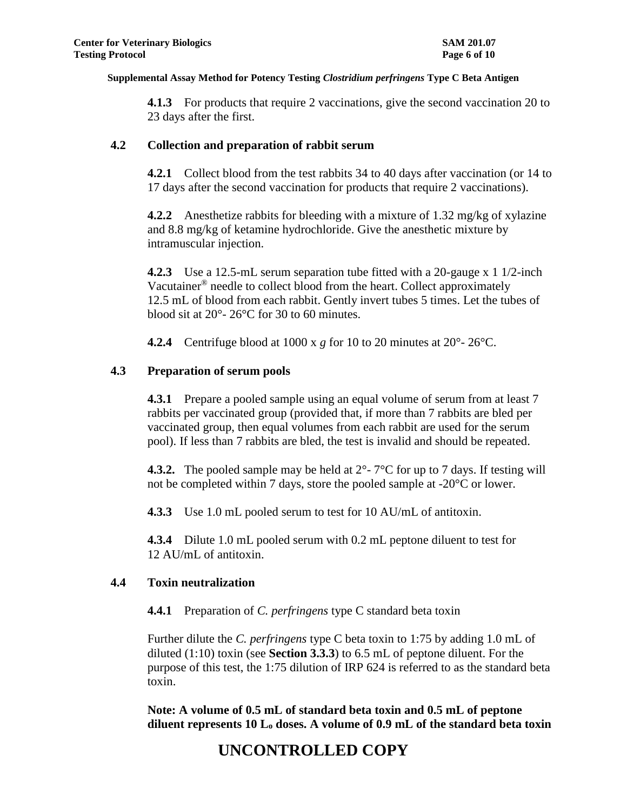**4.1.3** For products that require 2 vaccinations, give the second vaccination 20 to 23 days after the first.

### **4.2 Collection and preparation of rabbit serum**

**4.2.1** Collect blood from the test rabbits 34 to 40 days after vaccination (or 14 to 17 days after the second vaccination for products that require 2 vaccinations).

**4.2.2** Anesthetize rabbits for bleeding with a mixture of 1.32 mg/kg of xylazine and 8.8 mg/kg of ketamine hydrochloride. Give the anesthetic mixture by intramuscular injection.

**4.2.3** Use a 12.5-mL serum separation tube fitted with a 20-gauge x 1 1/2-inch Vacutainer® needle to collect blood from the heart. Collect approximately 12.5 mL of blood from each rabbit. Gently invert tubes 5 times. Let the tubes of blood sit at 20°- 26°C for 30 to 60 minutes.

**4.2.4** Centrifuge blood at 1000 x *g* for 10 to 20 minutes at 20°- 26°C.

## **4.3 Preparation of serum pools**

**4.3.1** Prepare a pooled sample using an equal volume of serum from at least 7 rabbits per vaccinated group (provided that, if more than 7 rabbits are bled per vaccinated group, then equal volumes from each rabbit are used for the serum pool). If less than 7 rabbits are bled, the test is invalid and should be repeated.

**4.3.2.** The pooled sample may be held at  $2^{\circ}$ - 7<sup>o</sup>C for up to 7 days. If testing will not be completed within 7 days, store the pooled sample at -20°C or lower.

**4.3.3** Use 1.0 mL pooled serum to test for 10 AU/mL of antitoxin.

**4.3.4** Dilute 1.0 mL pooled serum with 0.2 mL peptone diluent to test for 12 AU/mL of antitoxin.

#### **4.4 Toxin neutralization**

**4.4.1** Preparation of *C. perfringens* type C standard beta toxin

Further dilute the *C. perfringens* type C beta toxin to 1:75 by adding 1.0 mL of diluted (1:10) toxin (see **Section 3.3.3**) to 6.5 mL of peptone diluent. For the purpose of this test, the 1:75 dilution of IRP 624 is referred to as the standard beta toxin.

**Note: A volume of 0.5 mL of standard beta toxin and 0.5 mL of peptone diluent represents 10 L<sup>o</sup> doses. A volume of 0.9 mL of the standard beta toxin**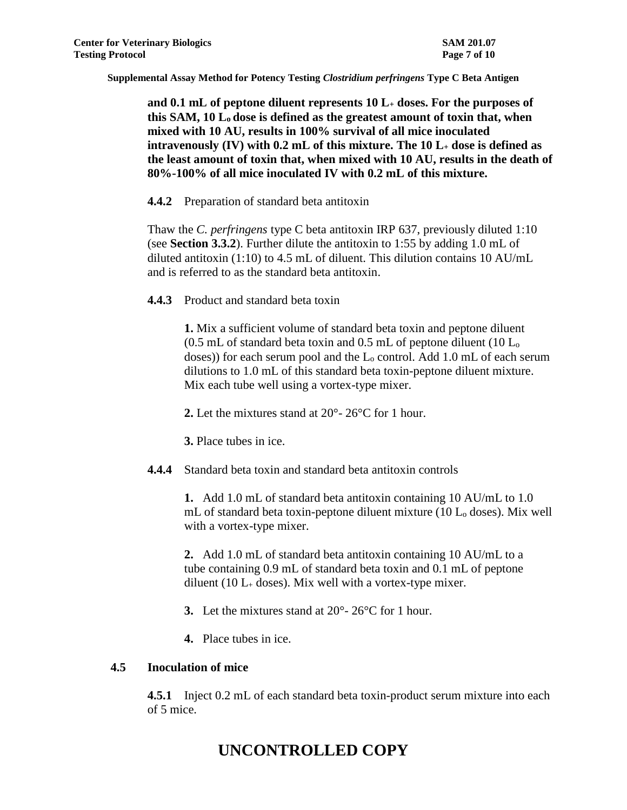**and 0.1 mL of peptone diluent represents 10 L<sup>+</sup> doses. For the purposes of this SAM, 10 L<sup>o</sup> dose is defined as the greatest amount of toxin that, when mixed with 10 AU, results in 100% survival of all mice inoculated intravenously (IV) with 0.2 mL of this mixture. The 10 L<sup>+</sup> dose is defined as the least amount of toxin that, when mixed with 10 AU, results in the death of 80%-100% of all mice inoculated IV with 0.2 mL of this mixture.** 

**4.4.2** Preparation of standard beta antitoxin

Thaw the *C. perfringens* type C beta antitoxin IRP 637, previously diluted 1:10 (see **Section 3.3.2**). Further dilute the antitoxin to 1:55 by adding 1.0 mL of diluted antitoxin (1:10) to 4.5 mL of diluent. This dilution contains 10 AU/mL and is referred to as the standard beta antitoxin.

**4.4.3** Product and standard beta toxin

**1.** Mix a sufficient volume of standard beta toxin and peptone diluent (0.5 mL of standard beta toxin and 0.5 mL of peptone diluent (10 L<sup>o</sup> doses)) for each serum pool and the L<sub>o</sub> control. Add 1.0 mL of each serum dilutions to 1.0 mL of this standard beta toxin-peptone diluent mixture. Mix each tube well using a vortex-type mixer.

**2.** Let the mixtures stand at 20°- 26°C for 1 hour.

**3.** Place tubes in ice.

**4.4.4** Standard beta toxin and standard beta antitoxin controls

**1.** Add 1.0 mL of standard beta antitoxin containing 10 AU/mL to 1.0 mL of standard beta toxin-peptone diluent mixture  $(10 L_0$  doses). Mix well with a vortex-type mixer.

**2.** Add 1.0 mL of standard beta antitoxin containing 10 AU/mL to a tube containing 0.9 mL of standard beta toxin and 0.1 mL of peptone diluent (10  $L_{+}$  doses). Mix well with a vortex-type mixer.

- **3.** Let the mixtures stand at 20°- 26°C for 1 hour.
- **4.** Place tubes in ice.

## **4.5 Inoculation of mice**

**4.5.1** Inject 0.2 mL of each standard beta toxin-product serum mixture into each of 5 mice.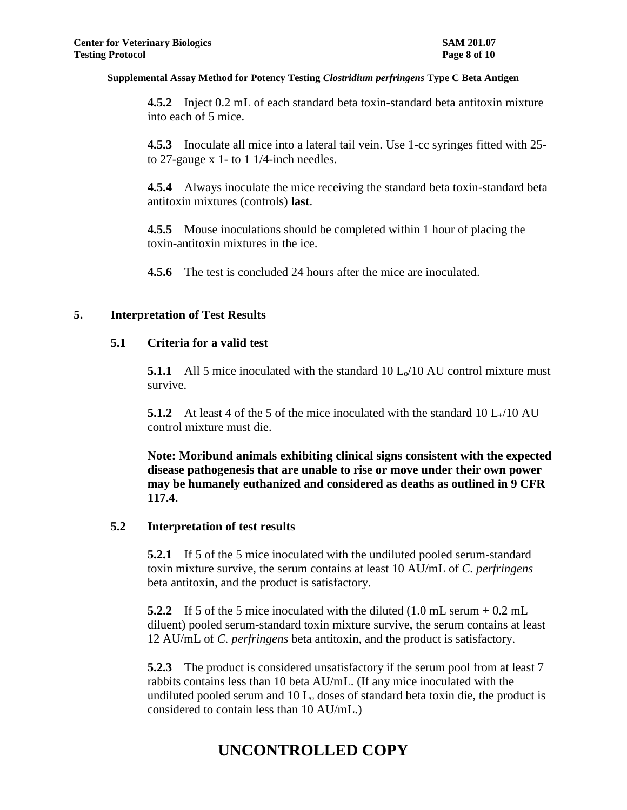**4.5.2** Inject 0.2 mL of each standard beta toxin-standard beta antitoxin mixture into each of 5 mice.

**4.5.3** Inoculate all mice into a lateral tail vein. Use 1-cc syringes fitted with 25 to 27-gauge x 1- to 1 1/4-inch needles.

**4.5.4** Always inoculate the mice receiving the standard beta toxin-standard beta antitoxin mixtures (controls) **last**.

**4.5.5** Mouse inoculations should be completed within 1 hour of placing the toxin-antitoxin mixtures in the ice.

**4.5.6** The test is concluded 24 hours after the mice are inoculated.

## **5. Interpretation of Test Results**

## **5.1 Criteria for a valid test**

**5.1.1** All 5 mice inoculated with the standard 10 L<sub>o</sub>/10 AU control mixture must survive.

**5.1.2** At least 4 of the 5 of the mice inoculated with the standard 10 L $_{+}$ /10 AU control mixture must die.

**Note: Moribund animals exhibiting clinical signs consistent with the expected disease pathogenesis that are unable to rise or move under their own power may be humanely euthanized and considered as deaths as outlined in 9 CFR 117.4.** 

#### **5.2 Interpretation of test results**

**5.2.1** If 5 of the 5 mice inoculated with the undiluted pooled serum-standard toxin mixture survive, the serum contains at least 10 AU/mL of *C. perfringens* beta antitoxin, and the product is satisfactory.

**5.2.2** If 5 of the 5 mice inoculated with the diluted (1.0 mL serum + 0.2 mL diluent) pooled serum-standard toxin mixture survive, the serum contains at least 12 AU/mL of *C. perfringens* beta antitoxin, and the product is satisfactory.

**5.2.3** The product is considered unsatisfactory if the serum pool from at least 7 rabbits contains less than 10 beta AU/mL. (If any mice inoculated with the undiluted pooled serum and  $10 L<sub>o</sub>$  doses of standard beta toxin die, the product is considered to contain less than 10 AU/mL.)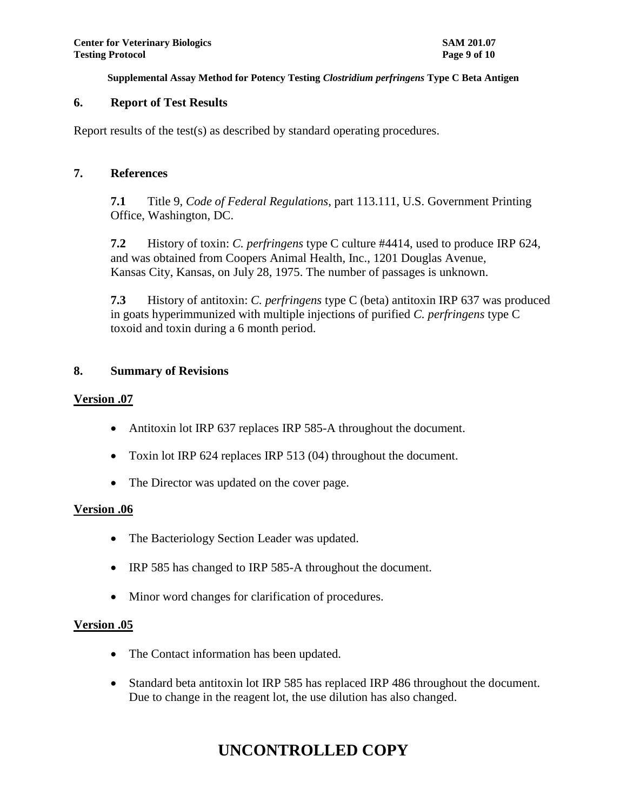## **6. Report of Test Results**

Report results of the test(s) as described by standard operating procedures.

#### **7. References**

**7.1** Title 9, *Code of Federal Regulations*, part 113.111, U.S. Government Printing Office, Washington, DC.

**7.2** History of toxin: *C. perfringens* type C culture #4414, used to produce IRP 624, and was obtained from Coopers Animal Health, Inc., 1201 Douglas Avenue, Kansas City, Kansas, on July 28, 1975. The number of passages is unknown.

**7.3** History of antitoxin: *C. perfringens* type C (beta) antitoxin IRP 637 was produced in goats hyperimmunized with multiple injections of purified *C. perfringens* type C toxoid and toxin during a 6 month period.

## **8. Summary of Revisions**

#### **Version .07**

- Antitoxin lot IRP 637 replaces IRP 585-A throughout the document.
- Toxin lot IRP 624 replaces IRP 513 (04) throughout the document.
- The Director was updated on the cover page.

## **Version .06**

- The Bacteriology Section Leader was updated.
- IRP 585 has changed to IRP 585-A throughout the document.
- Minor word changes for clarification of procedures.

## **Version .05**

- The Contact information has been updated.
- Standard beta antitoxin lot IRP 585 has replaced IRP 486 throughout the document. Due to change in the reagent lot, the use dilution has also changed.